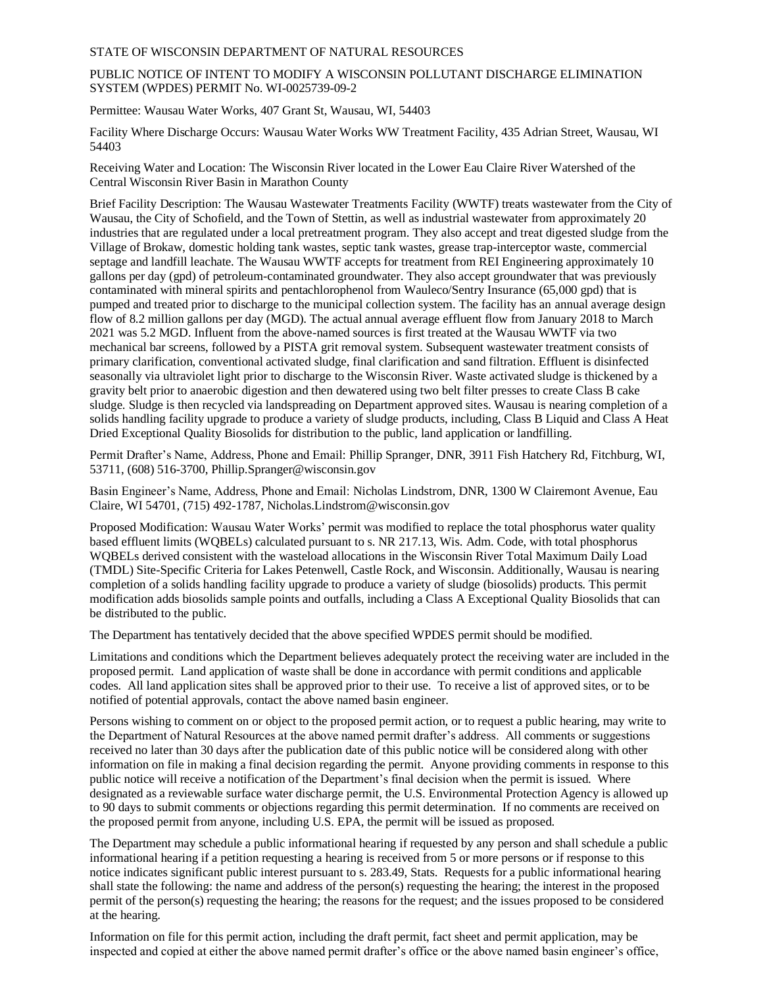## STATE OF WISCONSIN DEPARTMENT OF NATURAL RESOURCES

## PUBLIC NOTICE OF INTENT TO MODIFY A WISCONSIN POLLUTANT DISCHARGE ELIMINATION SYSTEM (WPDES) PERMIT No. WI-0025739-09-2

Permittee: Wausau Water Works, 407 Grant St, Wausau, WI, 54403

Facility Where Discharge Occurs: Wausau Water Works WW Treatment Facility, 435 Adrian Street, Wausau, WI 54403

Receiving Water and Location: The Wisconsin River located in the Lower Eau Claire River Watershed of the Central Wisconsin River Basin in Marathon County

Brief Facility Description: The Wausau Wastewater Treatments Facility (WWTF) treats wastewater from the City of Wausau, the City of Schofield, and the Town of Stettin, as well as industrial wastewater from approximately 20 industries that are regulated under a local pretreatment program. They also accept and treat digested sludge from the Village of Brokaw, domestic holding tank wastes, septic tank wastes, grease trap-interceptor waste, commercial septage and landfill leachate. The Wausau WWTF accepts for treatment from REI Engineering approximately 10 gallons per day (gpd) of petroleum-contaminated groundwater. They also accept groundwater that was previously contaminated with mineral spirits and pentachlorophenol from Wauleco/Sentry Insurance (65,000 gpd) that is pumped and treated prior to discharge to the municipal collection system. The facility has an annual average design flow of 8.2 million gallons per day (MGD). The actual annual average effluent flow from January 2018 to March 2021 was 5.2 MGD. Influent from the above-named sources is first treated at the Wausau WWTF via two mechanical bar screens, followed by a PISTA grit removal system. Subsequent wastewater treatment consists of primary clarification, conventional activated sludge, final clarification and sand filtration. Effluent is disinfected seasonally via ultraviolet light prior to discharge to the Wisconsin River. Waste activated sludge is thickened by a gravity belt prior to anaerobic digestion and then dewatered using two belt filter presses to create Class B cake sludge. Sludge is then recycled via landspreading on Department approved sites. Wausau is nearing completion of a solids handling facility upgrade to produce a variety of sludge products, including, Class B Liquid and Class A Heat Dried Exceptional Quality Biosolids for distribution to the public, land application or landfilling.

Permit Drafter's Name, Address, Phone and Email: Phillip Spranger, DNR, 3911 Fish Hatchery Rd, Fitchburg, WI, 53711, (608) 516-3700, Phillip.Spranger@wisconsin.gov

Basin Engineer's Name, Address, Phone and Email: Nicholas Lindstrom, DNR, 1300 W Clairemont Avenue, Eau Claire, WI 54701, (715) 492-1787, Nicholas.Lindstrom@wisconsin.gov

Proposed Modification: Wausau Water Works' permit was modified to replace the total phosphorus water quality based effluent limits (WQBELs) calculated pursuant to s. NR 217.13, Wis. Adm. Code, with total phosphorus WQBELs derived consistent with the wasteload allocations in the Wisconsin River Total Maximum Daily Load (TMDL) Site-Specific Criteria for Lakes Petenwell, Castle Rock, and Wisconsin. Additionally, Wausau is nearing completion of a solids handling facility upgrade to produce a variety of sludge (biosolids) products. This permit modification adds biosolids sample points and outfalls, including a Class A Exceptional Quality Biosolids that can be distributed to the public.

The Department has tentatively decided that the above specified WPDES permit should be modified.

Limitations and conditions which the Department believes adequately protect the receiving water are included in the proposed permit. Land application of waste shall be done in accordance with permit conditions and applicable codes. All land application sites shall be approved prior to their use. To receive a list of approved sites, or to be notified of potential approvals, contact the above named basin engineer.

Persons wishing to comment on or object to the proposed permit action, or to request a public hearing, may write to the Department of Natural Resources at the above named permit drafter's address. All comments or suggestions received no later than 30 days after the publication date of this public notice will be considered along with other information on file in making a final decision regarding the permit. Anyone providing comments in response to this public notice will receive a notification of the Department's final decision when the permit is issued. Where designated as a reviewable surface water discharge permit, the U.S. Environmental Protection Agency is allowed up to 90 days to submit comments or objections regarding this permit determination. If no comments are received on the proposed permit from anyone, including U.S. EPA, the permit will be issued as proposed.

The Department may schedule a public informational hearing if requested by any person and shall schedule a public informational hearing if a petition requesting a hearing is received from 5 or more persons or if response to this notice indicates significant public interest pursuant to s. 283.49, Stats. Requests for a public informational hearing shall state the following: the name and address of the person(s) requesting the hearing; the interest in the proposed permit of the person(s) requesting the hearing; the reasons for the request; and the issues proposed to be considered at the hearing.

Information on file for this permit action, including the draft permit, fact sheet and permit application, may be inspected and copied at either the above named permit drafter's office or the above named basin engineer's office,